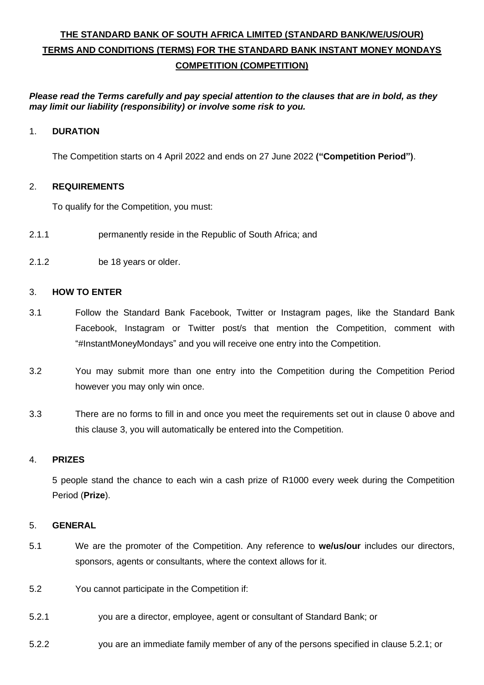# **THE STANDARD BANK OF SOUTH AFRICA LIMITED (STANDARD BANK/WE/US/OUR) TERMS AND CONDITIONS (TERMS) FOR THE STANDARD BANK INSTANT MONEY MONDAYS COMPETITION (COMPETITION)**

*Please read the Terms carefully and pay special attention to the clauses that are in bold, as they may limit our liability (responsibility) or involve some risk to you.*

## <span id="page-0-0"></span>1. **DURATION**

The Competition starts on 4 April 2022 and ends on 27 June 2022 **("Competition Period")**.

## 2. **REQUIREMENTS**

To qualify for the Competition, you must:

- 2.1.1 permanently reside in the Republic of South Africa; and
- 2.1.2 be 18 years or older.

## <span id="page-0-1"></span>3. **HOW TO ENTER**

- 3.1 Follow the Standard Bank Facebook, Twitter or Instagram pages, like the Standard Bank Facebook, Instagram or Twitter post/s that mention the Competition, comment with "#InstantMoneyMondays" and you will receive one entry into the Competition.
- 3.2 You may submit more than one entry into the Competition during the Competition Period however you may only win once.
- 3.3 There are no forms to fill in and once you meet the requirements set out in clause [0](#page-0-0) above and this clause [3,](#page-0-1) you will automatically be entered into the Competition.

#### 4. **PRIZES**

5 people stand the chance to each win a cash prize of R1000 every week during the Competition Period (**Prize**).

#### 5. **GENERAL**

- 5.1 We are the promoter of the Competition. Any reference to **we/us/our** includes our directors, sponsors, agents or consultants, where the context allows for it.
- 5.2 You cannot participate in the Competition if:
- <span id="page-0-2"></span>5.2.1 you are a director, employee, agent or consultant of Standard Bank; or
- 5.2.2 you are an immediate family member of any of the persons specified in clause [5.2.1;](#page-0-2) or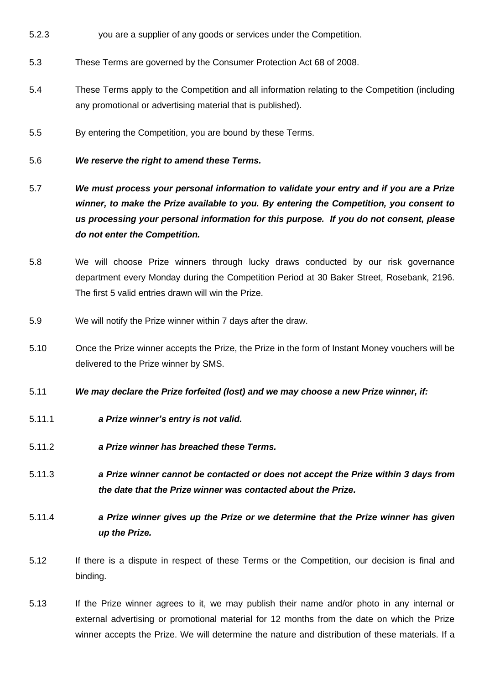- 5.2.3 you are a supplier of any goods or services under the Competition.
- 5.3 These Terms are governed by the Consumer Protection Act 68 of 2008.
- 5.4 These Terms apply to the Competition and all information relating to the Competition (including any promotional or advertising material that is published).
- 5.5 By entering the Competition, you are bound by these Terms.
- 5.6 *We reserve the right to amend these Terms.*
- 5.7 *We must process your personal information to validate your entry and if you are a Prize winner, to make the Prize available to you. By entering the Competition, you consent to us processing your personal information for this purpose. If you do not consent, please do not enter the Competition.*
- 5.8 We will choose Prize winners through lucky draws conducted by our risk governance department every Monday during the Competition Period at 30 Baker Street, Rosebank, 2196. The first 5 valid entries drawn will win the Prize.
- 5.9 We will notify the Prize winner within 7 days after the draw.
- 5.10 Once the Prize winner accepts the Prize, the Prize in the form of Instant Money vouchers will be delivered to the Prize winner by SMS.
- 5.11 *We may declare the Prize forfeited (lost) and we may choose a new Prize winner, if:*
- 5.11.1 *a Prize winner's entry is not valid.*
- 5.11.2 *a Prize winner has breached these Terms.*
- 5.11.3 *a Prize winner cannot be contacted or does not accept the Prize within 3 days from the date that the Prize winner was contacted about the Prize.*
- 5.11.4 *a Prize winner gives up the Prize or we determine that the Prize winner has given up the Prize.*
- 5.12 If there is a dispute in respect of these Terms or the Competition, our decision is final and binding.
- 5.13 If the Prize winner agrees to it, we may publish their name and/or photo in any internal or external advertising or promotional material for 12 months from the date on which the Prize winner accepts the Prize. We will determine the nature and distribution of these materials. If a